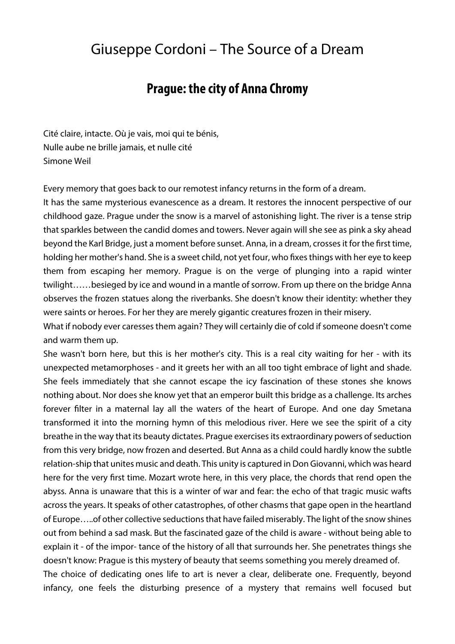## Giuseppe Cordoni – The Source of a Dream

## **Prague: the city of Anna Chromy**

Cité claire, intacte. Où je vais, moi qui te bénis, Nulle aube ne brille jamais, et nulle cité Simone Weil

Every memory that goes back to our remotest infancy returns in the form of a dream.

It has the same mysterious evanescence as a dream. It restores the innocent perspective of our childhood gaze. Prague under the snow is a marvel of astonishing light. The river is a tense strip that sparkles between the candid domes and towers. Never again will she see as pink a sky ahead beyond the Karl Bridge, just a moment before sunset. Anna, in a dream, crosses it for the first time, holding her mother's hand. She is a sweet child, not yet four, who fixes things with her eye to keep them from escaping her memory. Prague is on the verge of plunging into a rapid winter twilight……besieged by ice and wound in a mantle of sorrow. From up there on the bridge Anna observes the frozen statues along the riverbanks. She doesn't know their identity: whether they were saints or heroes. For her they are merely gigantic creatures frozen in their misery.

What if nobody ever caresses them again? They will certainly die of cold if someone doesn't come and warm them up.

She wasn't born here, but this is her mother's city. This is a real city waiting for her - with its unexpected metamorphoses - and it greets her with an all too tight embrace of light and shade. She feels immediately that she cannot escape the icy fascination of these stones she knows nothing about. Nor does she know yet that an emperor built this bridge as a challenge. Its arches forever filter in a maternal lay all the waters of the heart of Europe. And one day Smetana transformed it into the morning hymn of this melodious river. Here we see the spirit of a city breathe in the way that its beauty dictates. Prague exercises its extraordinary powers of seduction from this very bridge, now frozen and deserted. But Anna as a child could hardly know the subtle relation-ship that unites music and death. This unity is captured in Don Giovanni, which was heard here for the very first time. Mozart wrote here, in this very place, the chords that rend open the abyss. Anna is unaware that this is a winter of war and fear: the echo of that tragic music wafts across the years. It speaks of other catastrophes, of other chasms that gape open in the heartland of Europe…..of other collective seductions that have failed miserably. The light of the snow shines out from behind a sad mask. But the fascinated gaze of the child is aware - without being able to explain it - of the impor- tance of the history of all that surrounds her. She penetrates things she doesn't know: Prague is this mystery of beauty that seems something you merely dreamed of.

The choice of dedicating ones life to art is never a clear, deliberate one. Frequently, beyond infancy, one feels the disturbing presence of a mystery that remains well focused but